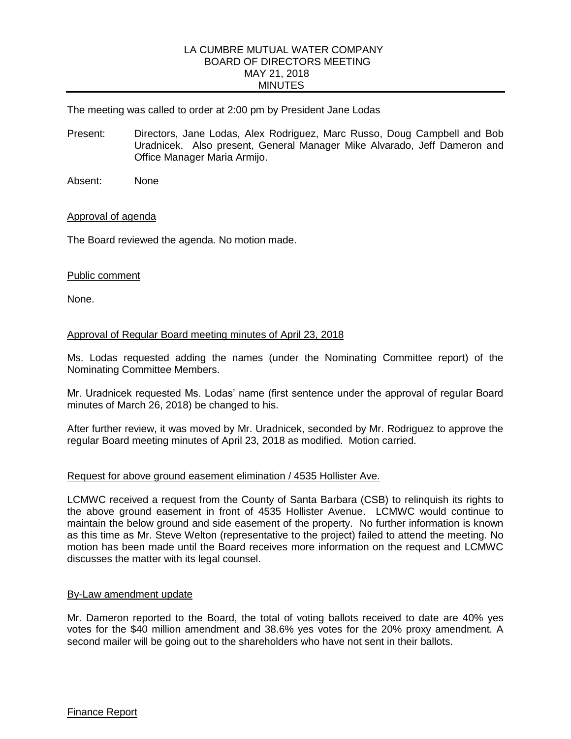## LA CUMBRE MUTUAL WATER COMPANY BOARD OF DIRECTORS MEETING MAY 21, 2018 MINUTES

The meeting was called to order at 2:00 pm by President Jane Lodas

- Present: Directors, Jane Lodas, Alex Rodriguez, Marc Russo, Doug Campbell and Bob Uradnicek. Also present, General Manager Mike Alvarado, Jeff Dameron and Office Manager Maria Armijo.
- Absent: None

## Approval of agenda

The Board reviewed the agenda. No motion made.

#### Public comment

None.

## Approval of Regular Board meeting minutes of April 23, 2018

Ms. Lodas requested adding the names (under the Nominating Committee report) of the Nominating Committee Members.

Mr. Uradnicek requested Ms. Lodas' name (first sentence under the approval of regular Board minutes of March 26, 2018) be changed to his.

After further review, it was moved by Mr. Uradnicek, seconded by Mr. Rodriguez to approve the regular Board meeting minutes of April 23, 2018 as modified. Motion carried.

## Request for above ground easement elimination / 4535 Hollister Ave.

LCMWC received a request from the County of Santa Barbara (CSB) to relinquish its rights to the above ground easement in front of 4535 Hollister Avenue. LCMWC would continue to maintain the below ground and side easement of the property. No further information is known as this time as Mr. Steve Welton (representative to the project) failed to attend the meeting. No motion has been made until the Board receives more information on the request and LCMWC discusses the matter with its legal counsel.

#### By-Law amendment update

Mr. Dameron reported to the Board, the total of voting ballots received to date are 40% yes votes for the \$40 million amendment and 38.6% yes votes for the 20% proxy amendment. A second mailer will be going out to the shareholders who have not sent in their ballots.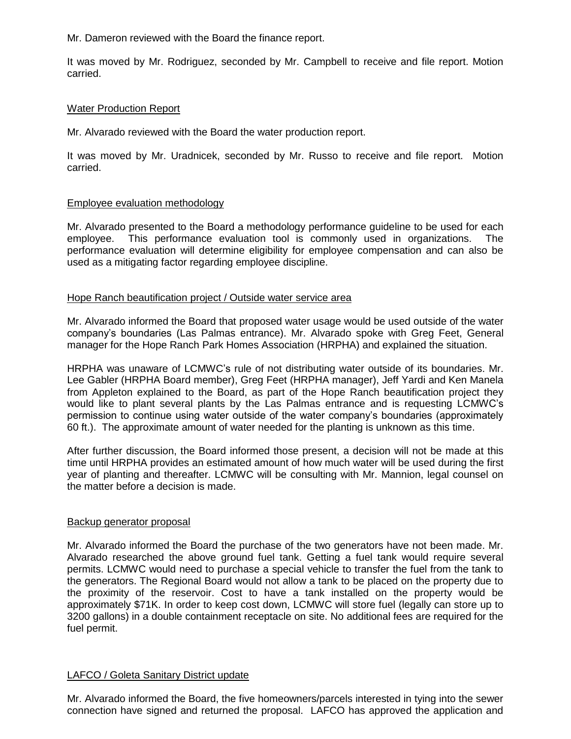Mr. Dameron reviewed with the Board the finance report.

It was moved by Mr. Rodriguez, seconded by Mr. Campbell to receive and file report. Motion carried.

## Water Production Report

Mr. Alvarado reviewed with the Board the water production report.

It was moved by Mr. Uradnicek, seconded by Mr. Russo to receive and file report. Motion carried.

# Employee evaluation methodology

Mr. Alvarado presented to the Board a methodology performance guideline to be used for each employee. This performance evaluation tool is commonly used in organizations. The performance evaluation will determine eligibility for employee compensation and can also be used as a mitigating factor regarding employee discipline.

# Hope Ranch beautification project / Outside water service area

Mr. Alvarado informed the Board that proposed water usage would be used outside of the water company's boundaries (Las Palmas entrance). Mr. Alvarado spoke with Greg Feet, General manager for the Hope Ranch Park Homes Association (HRPHA) and explained the situation.

HRPHA was unaware of LCMWC's rule of not distributing water outside of its boundaries. Mr. Lee Gabler (HRPHA Board member), Greg Feet (HRPHA manager), Jeff Yardi and Ken Manela from Appleton explained to the Board, as part of the Hope Ranch beautification project they would like to plant several plants by the Las Palmas entrance and is requesting LCMWC's permission to continue using water outside of the water company's boundaries (approximately 60 ft.). The approximate amount of water needed for the planting is unknown as this time.

After further discussion, the Board informed those present, a decision will not be made at this time until HRPHA provides an estimated amount of how much water will be used during the first year of planting and thereafter. LCMWC will be consulting with Mr. Mannion, legal counsel on the matter before a decision is made.

## Backup generator proposal

Mr. Alvarado informed the Board the purchase of the two generators have not been made. Mr. Alvarado researched the above ground fuel tank. Getting a fuel tank would require several permits. LCMWC would need to purchase a special vehicle to transfer the fuel from the tank to the generators. The Regional Board would not allow a tank to be placed on the property due to the proximity of the reservoir. Cost to have a tank installed on the property would be approximately \$71K. In order to keep cost down, LCMWC will store fuel (legally can store up to 3200 gallons) in a double containment receptacle on site. No additional fees are required for the fuel permit.

## LAFCO / Goleta Sanitary District update

Mr. Alvarado informed the Board, the five homeowners/parcels interested in tying into the sewer connection have signed and returned the proposal. LAFCO has approved the application and